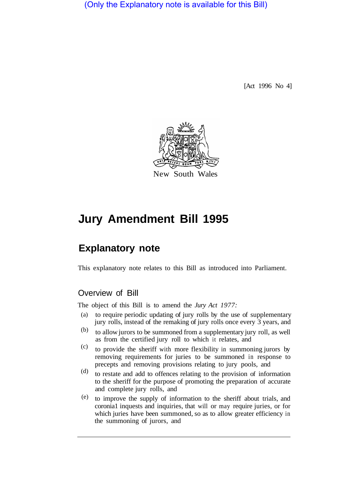(Only the Explanatory note is available for this Bill)

[Act 1996 No 4]



# **Jury Amendment Bill 1995**

# **Explanatory note**

This explanatory note relates to this Bill as introduced into Parliament.

# Overview of Bill

The object of this Bill is to amend the *Jury Act 1977:* 

- to require periodic updating of jury rolls by the use of supplementary (a) jury rolls, instead of the remaking of jury rolls once every 3 years, and
- to allow jurors to be summoned from a supplementary jury roll, as well as from the certified jury roll to which it relates, and (b)
- to provide the sheriff with more flexibility in summoning jurors by removing requirements for juries to be summoned in response to precepts and removing provisions relating to jury pools, and (c)
- to restate and add to offences relating to the provision of information to the sheriff for the purpose of promoting the preparation of accurate and complete jury rolls, and (d)
- to improve the supply of information to the sheriff about trials, and coronia1 inquests and inquiries, that will or may require juries, or for which juries have been summoned, so as to allow greater efficiency in the summoning of jurors, and (e)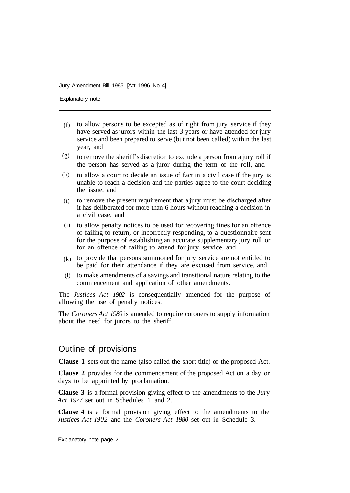Explanatory note

- $(t)$  to allow persons to be excepted as of right from jury service if they have served as jurors within the last 3 years or have attended for jury service and been prepared to serve (but not been called) within the last year, and
- to remove the sheriff's discretion to exclude a person from a jury roll if the person has served as a juror during the term of the roll, and (g)
- to allow a court to decide an issue of fact in a civil case if the jury is unable to reach a decision and the parties agree to the court deciding the issue, and (h)
- to remove the present requirement that a jury must be discharged after it has deliberated for more than 6 hours without reaching a decision in a civil case, and (i)
- (j) to allow penalty notices to be used for recovering fines for an offence of failing to return, or incorrectly responding, to a questionnaire sent for the purpose of establishing an accurate supplementary jury roll or for an offence of failing to attend for jury service, and
- $(k)$  to provide that persons summoned for jury service are not entitled to be paid for their attendance if they are excused from service, and
- to make amendments of a savings and transitional nature relating to the (l)commencement and application of other amendments.

The *Justices Act 1902* is consequentially amended for the purpose of allowing the use of penalty notices.

The *Coroners Act 1980* is amended to require coroners to supply information about the need for jurors to the sheriff.

# Outline of provisions

**Clause 1** sets out the name (also called the short title) of the proposed Act.

**Clause 2** provides for the commencement of the proposed Act on a day or days to be appointed by proclamation.

**Clause 3** is a formal provision giving effect to the amendments to the *Jury Act 1977* set out in Schedules 1 and 2.

**Clause 4** is a formal provision giving effect to the amendments to the *Justices Act I902* and the *Coroners Act 1980* set out in Schedule 3.

Explanatory note page 2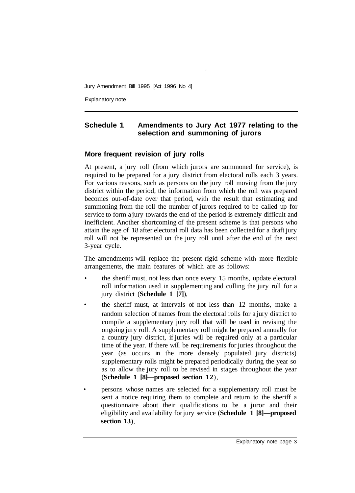Explanatory note

# **Schedule 1 Amendments to Jury Act 1977 relating to the selection and summoning of jurors**

# **More frequent revision of jury rolls**

At present, a jury roll (from which jurors are summoned for service), is required to be prepared for a jury district from electoral rolls each 3 years. For various reasons, such as persons on the jury roll moving from the jury district within the period, the information from which the roll was prepared becomes out-of-date over that period, with the result that estimating and summoning from the roll the number of jurors required to be called up for service to form a jury towards the end of the period is extremely difficult and inefficient. Another shortcoming of the present scheme is that persons who attain the age of 18 after electoral roll data has been collected for a draft jury roll will not be represented on the jury roll until after the end of the next 3-year cycle.

The amendments will replace the present rigid scheme with more flexible arrangements, the main features of which are as follows:

- the sheriff must, not less than once every 15 months, update electoral roll information used in supplementing and culling the jury roll for a jury district (**Schedule 1 [7]**),
- the sheriff must, at intervals of not less than 12 months, make a random selection of names from the electoral rolls for a jury district to compile a supplementary jury roll that will be used in revising the ongoing jury roll. A supplementary roll might be prepared annually for a country jury district, if juries will be required only at a particular time of the year. If there will be requirements for juries throughout the year (as occurs in the more densely populated jury districts) supplementary rolls might be prepared periodically during the year so as to allow the jury roll to be revised in stages throughout the year (**Schedule 1 [8]—proposed section 12**),
- persons whose names are selected for a supplementary roll must be sent a notice requiring them to complete and return to the sheriff a questionnaire about their qualifications to be a juror and their eligibility and availability for jury service (**Schedule 1 [8]—proposed section 13**),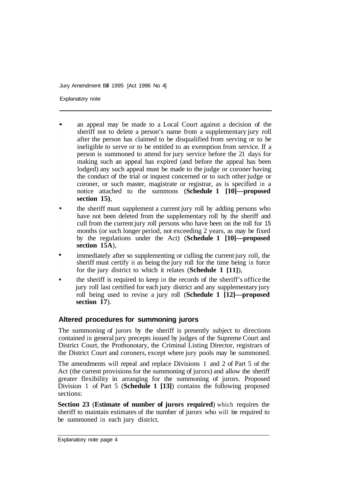Explanatory note

- an appeal may be made to a Local Court against a decision of the sheriff not to delete a person's name from a supplementary jury roll after the person has claimed to be disqualified from serving or to be ineligible to serve or to be entitled to an exemption from service. If a person is summoned to attend for jury service before the 21 days for making such an appeal has expired (and before the appeal has been lodged) any such appeal must be made to the judge or coroner having the conduct of the trial or inquest concerned or to such other judge or coroner, or such master, magistrate or registrar, as is specified in a notice attached to the summons (**Schedule 1 [10]—proposed section 15)**,
- the sheriff must supplement a current jury roll by adding persons who have not been deleted from the supplementary roll by the sheriff and cull from the current jury roll persons who have been on the roll for 15 months (or such longer period, not exceeding 2 years, as may be fixed by the regulations under the Act) (**Schedule 1 [10]—proposed section 15A**),
- immediately after so supplementing or culling the current jury roll, the sheriff must certify it as being the jury roll for the time being in force for the jury district to which it relates (**Schedule 1 [11]**),
- the sheriff is required to keep in the records of the sheriff's office the jury roll last certified for each jury district and any supplementary jury roll being used to revise a jury roll (**Schedule 1 [12]—proposed section 17**).

# **Altered procedures for summoning jurors**

The summoning of jurors by the sheriff is presently subject to directions contained in general jury precepts issued by judges of the Supreme Court and District Court, the Prothonotary, the Criminal Listing Director, registrars of the District Court and coroners, except where jury pools may be summoned.

The amendments will repeal and replace Divisions 1 and 2 of Part 5 of the Act (the current provisions for the summoning of jurors) and allow the sheriff greater flexibility in arranging for the summoning of jurors. Proposed Division 1 of Part 5 (**Schedule 1 [13]**) contains the following proposed sections:

**Section 23** (**Estimate of number of jurors required**) which requires the sheriff to maintain estimates of the number of jurors who will be required to be summoned in each jury district.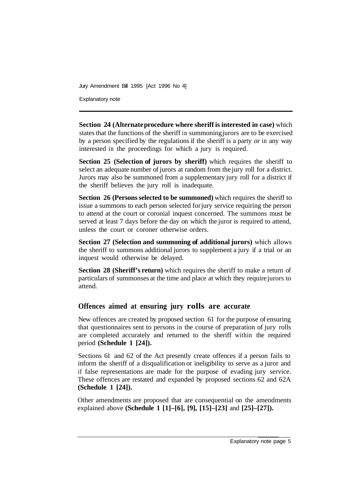Explanatory note

**Section 24 (Alternate procedure where sheriff is interested in case)** which states that the functions of the sheriff in summoning jurors are to be exercised by a person specified by the regulations if the sheriff is a party or in any way interested in the proceedings for which a jury is required.

**Section 25 (Selection of jurors by sheriff)** which requires the sheriff to select an adequate number of jurors at random from the jury roll for a district. Jurors may also be summoned from a supplementary jury roll for a district if the sheriff believes the jury roll is inadequate.

**Section 26 (Persons selected to be summoned)** which requires the sheriff to issue a summons to each person selected for jury service requiring the person to attend at the court or coronial inquest concerned. The summons must be served at least 7 days before the day on which the juror is required to attend, unless the court or coroner otherwise orders.

**Section 27 (Selection and summoning of additional jurors)** which allows the sheriff to summons additional jurors to supplement a jury if a trial or an inquest would otherwise be delayed.

**Section 28 (Sheriff's return)** which requires the sheriff to make a return of particulars of summonses at the time and place at which they require jurors to attend.

# **Offences aimed at ensuring jury rolls are accurate**

New offences are created by proposed section 61 for the purpose of ensuring that questionnaires sent to persons in the course of preparation of jury rolls are completed accurately and returned to the sheriff within the required period **(Schedule 1 [24]).** 

Sections 61 and 62 of the Act presently create offences if a person fails to inform the sheriff of a disqualification or ineligibility to serve as a juror and if false representations are made for the purpose of evading jury service. These offences are restated and expanded by proposed sections 62 and 62A **(Schedule 1 [24]).** 

Other amendments are proposed that are consequential on the amendments explained above **(Schedule 1 [1]–[6], [9], [15]–[23]** and **[25]–[27]).**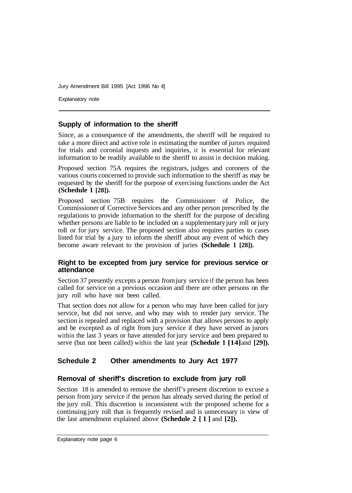Explanatory note

#### **Supply of information to the sheriff**

Since, as a consequence of the amendments, the sheriff will be required to take a more direct and active role in estimating the number of jurors required for trials and coronial inquests and inquiries, it is essential for relevant information to be readily available to the sheriff to assist in decision making.

Proposed section 75A requires the registrars, judges and coroners of the various courts concerned to provide such information to the sheriff as may be requested by the sheriff for the purpose of exercising functions under the Act **(Schedule 1 [28]).** 

Proposed section 75B requires the Commissioner of Police, the Commissioner of Corrective Services and any other person prescribed by the regulations to provide information to the sheriff for the purpose of deciding whether persons are liable to be included on a supplementary jury roll or jury roll or for jury service. The proposed section also requires parties to cases listed for trial by a jury to inform the sheriff about any event of which they become aware relevant to the provision of juries **(Schedule 1 [28]).** 

#### **Right to be excepted from jury service for previous service or attendance**

Section 37 presently excepts a person from jury service if the person has been called for service on a previous occasion and there are other persons on the jury roll who have not been called.

That section does not allow for a person who may have been called for jury service, but did not serve, and who may wish to render jury service. The section is repealed and replaced with a provision that allows persons to apply and be excepted as of right from jury service if they have served as jurors within the last 3 years or have attended for jury service and been prepared to serve (but not been called) within the last year **(Schedule 1 [14]** and **[29]).** 

# **Schedule 2 Other amendments to Jury Act 1977**

#### **Removal of sheriff's discretion to exclude from jury roll**

Section 18 is amended to remove the sheriff's present discretion to excuse a person from jury service if the person has already served during the period of the jury roll. This discretion is inconsistent with the proposed scheme for a continuing jury roll that is frequently revised and is unnecessary in view of the last amendment explained above **(Schedule 2 [1]** and **[2]).**